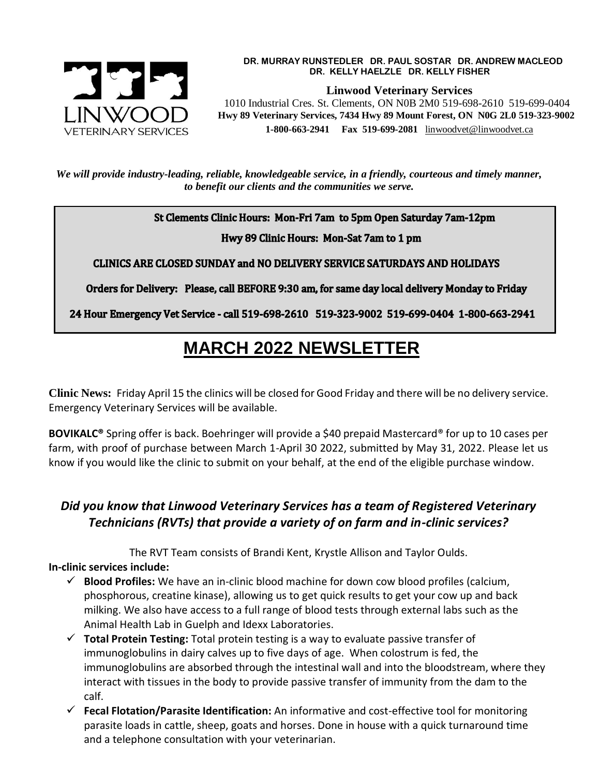

#### **DR. MURRAY RUNSTEDLER DR. PAUL SOSTAR DR. ANDREW MACLEOD DR. KELLY HAELZLE DR. KELLY FISHER**

**Linwood Veterinary Services**

 **Hwy 89 Veterinary Services, 7434 Hwy 89 Mount Forest, ON N0G 2L0 519-323-9002 1-800-663-2941 Fax 519-699-2081** [linwoodvet@linwoodvet.ca](mailto:linwoodvet@linwoodvet.ca)

*We will provide industry-leading, reliable, knowledgeable service, in a friendly, courteous and timely manner, to benefit our clients and the communities we serve.*

St Clements Clinic Hours: Mon-Fri 7am to 5pm Open Saturday 7am-12pm

Hwy 89 Clinic Hours: Mon-Sat 7am to 1 pm

**CLINICS ARE CLOSED SUNDAY and NO DELIVERY SERVICE SATURDAYS AND HOLIDAYS** 

Orders for Delivery: Please, call BEFORE 9:30 am, for same day local delivery Monday to Friday

24 Hour Emergency Vet Service - call 519-698-2610 519-323-9002 519-699-0404 1-800-663-2941

# **MARCH 2022 NEWSLETTER**

**Clinic News:** Friday April 15 the clinics will be closed for Good Friday and there will be no delivery service. Emergency Veterinary Services will be available.

**BOVIKALC®** Spring offer is back. Boehringer will provide a \$40 prepaid Mastercard® for up to 10 cases per farm, with proof of purchase between March 1-April 30 2022, submitted by May 31, 2022. Please let us know if you would like the clinic to submit on your behalf, at the end of the eligible purchase window.

## *Did you know that Linwood Veterinary Services has a team of Registered Veterinary Technicians (RVTs) that provide a variety of on farm and in-clinic services?*

The RVT Team consists of Brandi Kent, Krystle Allison and Taylor Oulds.

## **In-clinic services include:**

- $\checkmark$  Blood Profiles: We have an in-clinic blood machine for down cow blood profiles (calcium, phosphorous, creatine kinase), allowing us to get quick results to get your cow up and back milking. We also have access to a full range of blood tests through external labs such as the Animal Health Lab in Guelph and Idexx Laboratories.
- **Total Protein Testing:** Total protein testing is a way to evaluate passive transfer of immunoglobulins in dairy calves up to five days of age. When colostrum is fed, the immunoglobulins are absorbed through the intestinal wall and into the bloodstream, where they interact with tissues in the body to provide passive transfer of immunity from the dam to the calf.
- **Fecal Flotation/Parasite Identification:** An informative and cost-effective tool for monitoring parasite loads in cattle, sheep, goats and horses. Done in house with a quick turnaround time and a telephone consultation with your veterinarian.